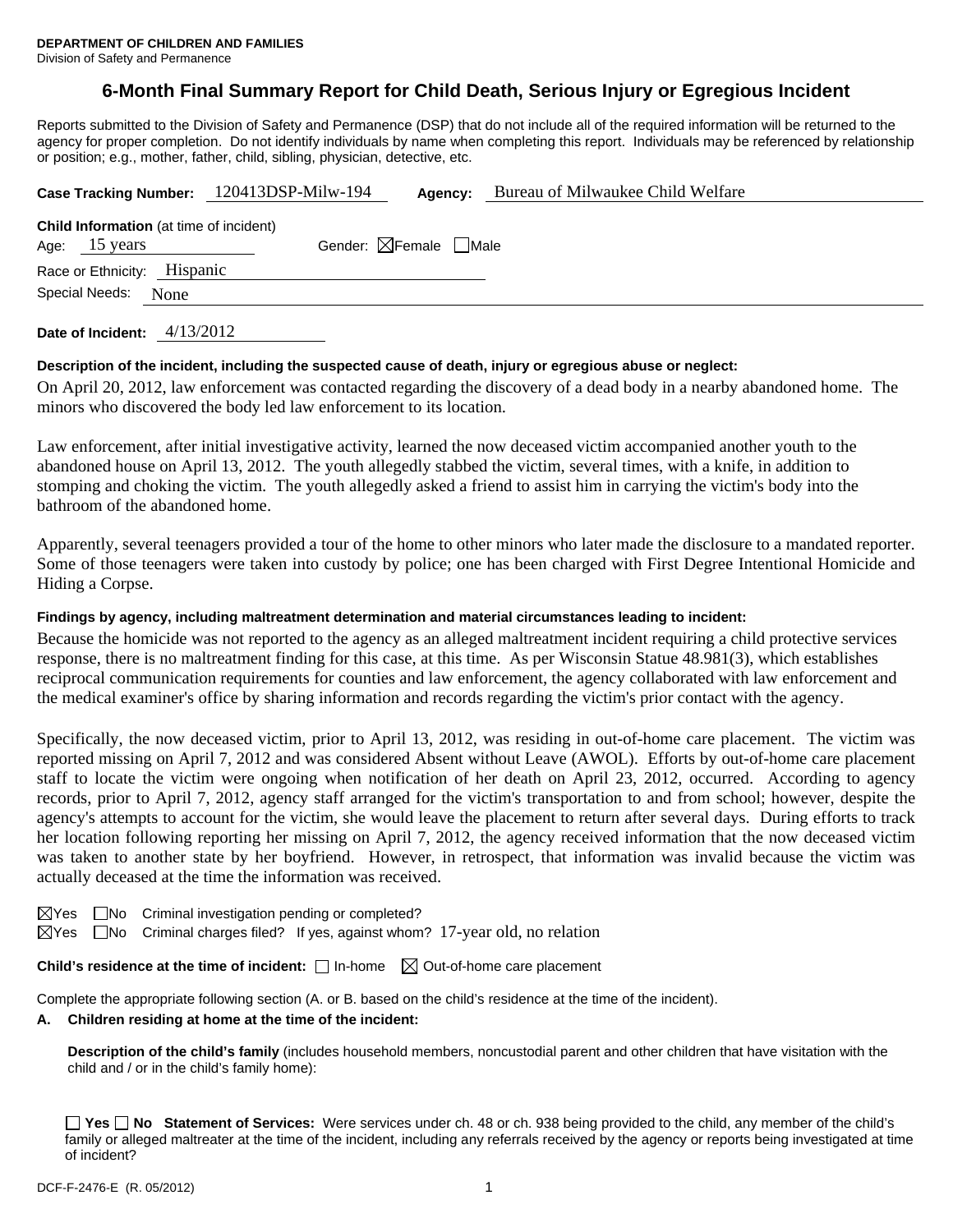# **6-Month Final Summary Report for Child Death, Serious Injury or Egregious Incident**

Reports submitted to the Division of Safety and Permanence (DSP) that do not include all of the required information will be returned to the agency for proper completion. Do not identify individuals by name when completing this report. Individuals may be referenced by relationship or position; e.g., mother, father, child, sibling, physician, detective, etc.

| Case Tracking Number: 120413DSP-Milw-194 |                                                | Agency:      | Bureau of Milwaukee Child Welfare      |  |
|------------------------------------------|------------------------------------------------|--------------|----------------------------------------|--|
|                                          | <b>Child Information</b> (at time of incident) |              | Gender: $\boxtimes$ Female $\Box$ Male |  |
|                                          | Age: 15 years                                  |              |                                        |  |
|                                          | Race or Ethnicity: Hispanic                    |              |                                        |  |
|                                          | Special Needs:                                 | None         |                                        |  |
|                                          |                                                |              |                                        |  |
|                                          |                                                | $\sqrt{112}$ |                                        |  |

**Date of Incident:** 4/13/2012

# **Description of the incident, including the suspected cause of death, injury or egregious abuse or neglect:**

On April 20, 2012, law enforcement was contacted regarding the discovery of a dead body in a nearby abandoned home. The minors who discovered the body led law enforcement to its location.

Law enforcement, after initial investigative activity, learned the now deceased victim accompanied another youth to the abandoned house on April 13, 2012. The youth allegedly stabbed the victim, several times, with a knife, in addition to stomping and choking the victim. The youth allegedly asked a friend to assist him in carrying the victim's body into the bathroom of the abandoned home.

Apparently, several teenagers provided a tour of the home to other minors who later made the disclosure to a mandated reporter. Some of those teenagers were taken into custody by police; one has been charged with First Degree Intentional Homicide and Hiding a Corpse.

# **Findings by agency, including maltreatment determination and material circumstances leading to incident:**

Because the homicide was not reported to the agency as an alleged maltreatment incident requiring a child protective services response, there is no maltreatment finding for this case, at this time. As per Wisconsin Statue 48.981(3), which establishes reciprocal communication requirements for counties and law enforcement, the agency collaborated with law enforcement and the medical examiner's office by sharing information and records regarding the victim's prior contact with the agency.

Specifically, the now deceased victim, prior to April 13, 2012, was residing in out-of-home care placement. The victim was reported missing on April 7, 2012 and was considered Absent without Leave (AWOL). Efforts by out-of-home care placement staff to locate the victim were ongoing when notification of her death on April 23, 2012, occurred. According to agency records, prior to April 7, 2012, agency staff arranged for the victim's transportation to and from school; however, despite the agency's attempts to account for the victim, she would leave the placement to return after several days. During efforts to track her location following reporting her missing on April 7, 2012, the agency received information that the now deceased victim was taken to another state by her boyfriend. However, in retrospect, that information was invalid because the victim was actually deceased at the time the information was received.

- $\boxtimes$ Yes  $\Box$ No Criminal investigation pending or completed?
- $\boxtimes$ Yes  $\Box$ No Criminal charges filed? If yes, against whom? 17-year old, no relation

**Child's residence at the time of incident:**  $\Box$  In-home  $\Box$  Out-of-home care placement

Complete the appropriate following section (A. or B. based on the child's residence at the time of the incident).

### **A. Children residing at home at the time of the incident:**

**Description of the child's family** (includes household members, noncustodial parent and other children that have visitation with the child and / or in the child's family home):

**Yes No Statement of Services:** Were services under ch. 48 or ch. 938 being provided to the child, any member of the child's family or alleged maltreater at the time of the incident, including any referrals received by the agency or reports being investigated at time of incident?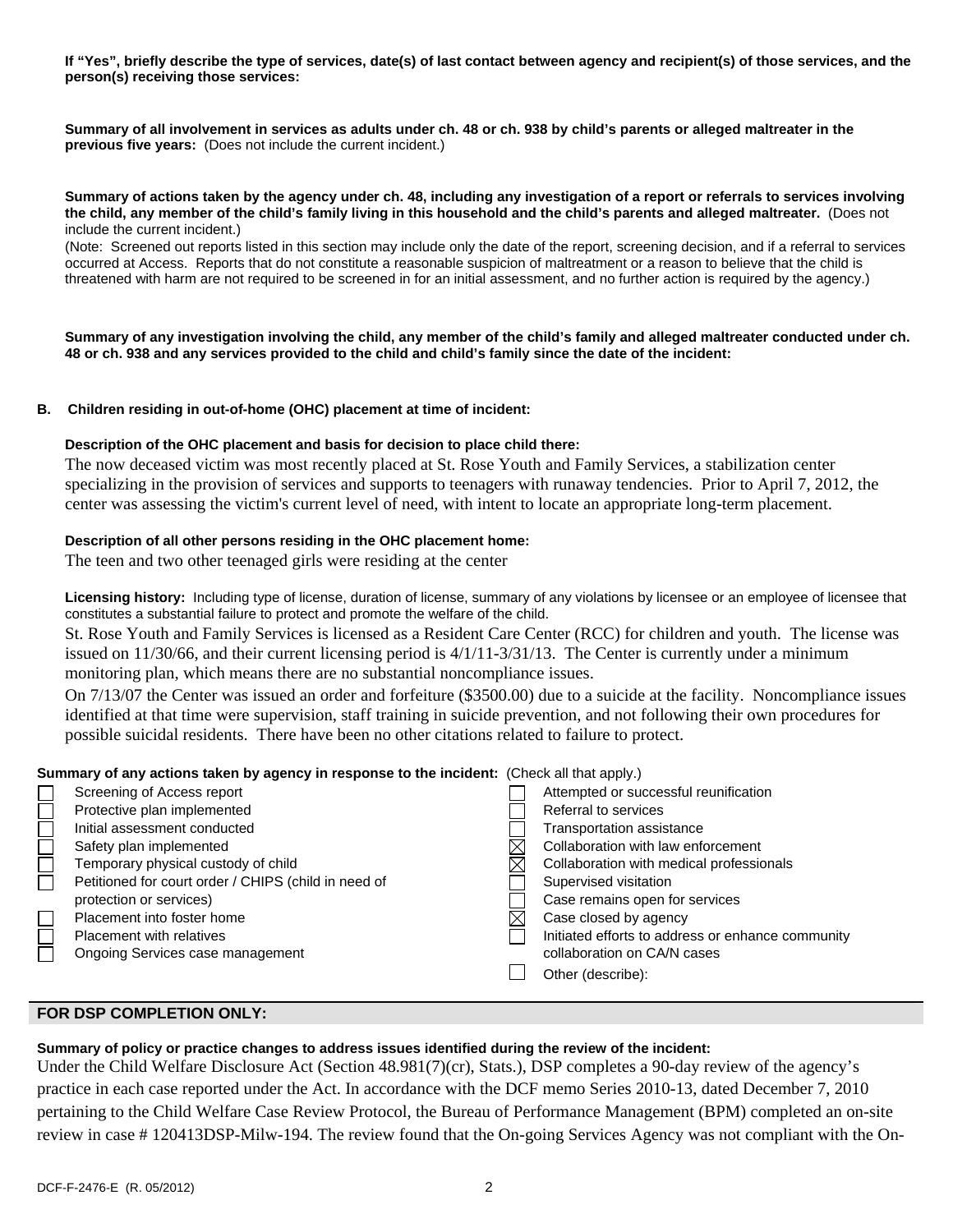**If "Yes", briefly describe the type of services, date(s) of last contact between agency and recipient(s) of those services, and the person(s) receiving those services:** 

**Summary of all involvement in services as adults under ch. 48 or ch. 938 by child's parents or alleged maltreater in the previous five years:** (Does not include the current incident.)

#### **Summary of actions taken by the agency under ch. 48, including any investigation of a report or referrals to services involving the child, any member of the child's family living in this household and the child's parents and alleged maltreater.** (Does not include the current incident.)

(Note: Screened out reports listed in this section may include only the date of the report, screening decision, and if a referral to services occurred at Access. Reports that do not constitute a reasonable suspicion of maltreatment or a reason to believe that the child is threatened with harm are not required to be screened in for an initial assessment, and no further action is required by the agency.)

**Summary of any investigation involving the child, any member of the child's family and alleged maltreater conducted under ch. 48 or ch. 938 and any services provided to the child and child's family since the date of the incident:** 

#### **B. Children residing in out-of-home (OHC) placement at time of incident:**

#### **Description of the OHC placement and basis for decision to place child there:**

The now deceased victim was most recently placed at St. Rose Youth and Family Services, a stabilization center specializing in the provision of services and supports to teenagers with runaway tendencies. Prior to April 7, 2012, the center was assessing the victim's current level of need, with intent to locate an appropriate long-term placement.

# **Description of all other persons residing in the OHC placement home:**

The teen and two other teenaged girls were residing at the center

**Licensing history:** Including type of license, duration of license, summary of any violations by licensee or an employee of licensee that constitutes a substantial failure to protect and promote the welfare of the child.

St. Rose Youth and Family Services is licensed as a Resident Care Center (RCC) for children and youth. The license was issued on 11/30/66, and their current licensing period is 4/1/11-3/31/13. The Center is currently under a minimum monitoring plan, which means there are no substantial noncompliance issues.

On 7/13/07 the Center was issued an order and forfeiture (\$3500.00) due to a suicide at the facility. Noncompliance issues identified at that time were supervision, staff training in suicide prevention, and not following their own procedures for possible suicidal residents. There have been no other citations related to failure to protect.

#### **Summary of any actions taken by agency in response to the incident:** (Check all that apply.)

|        | $\alpha$ outfinition $\alpha$ or any actions taken by agency in response to the incluent. (Oneck an that apply.) |  |                                                   |  |
|--------|------------------------------------------------------------------------------------------------------------------|--|---------------------------------------------------|--|
|        | Screening of Access report                                                                                       |  | Attempted or successful reunification             |  |
|        | Protective plan implemented                                                                                      |  | Referral to services                              |  |
| $\Box$ | Initial assessment conducted                                                                                     |  | Transportation assistance                         |  |
|        | Safety plan implemented                                                                                          |  | Collaboration with law enforcement                |  |
| $\Box$ | Temporary physical custody of child                                                                              |  | Collaboration with medical professionals          |  |
| Ē      | Petitioned for court order / CHIPS (child in need of                                                             |  | Supervised visitation                             |  |
|        | protection or services)                                                                                          |  | Case remains open for services                    |  |
|        | Placement into foster home                                                                                       |  | Case closed by agency                             |  |
| $\Box$ | <b>Placement with relatives</b>                                                                                  |  | Initiated efforts to address or enhance community |  |
|        | Ongoing Services case management                                                                                 |  | collaboration on CA/N cases                       |  |
|        |                                                                                                                  |  | Other (describe):                                 |  |
|        |                                                                                                                  |  |                                                   |  |

# **FOR DSP COMPLETION ONLY:**

# **Summary of policy or practice changes to address issues identified during the review of the incident:**

Under the Child Welfare Disclosure Act (Section 48.981(7)(cr), Stats.), DSP completes a 90-day review of the agency's practice in each case reported under the Act. In accordance with the DCF memo Series 2010-13, dated December 7, 2010 pertaining to the Child Welfare Case Review Protocol, the Bureau of Performance Management (BPM) completed an on-site review in case # 120413DSP-Milw-194. The review found that the On-going Services Agency was not compliant with the On